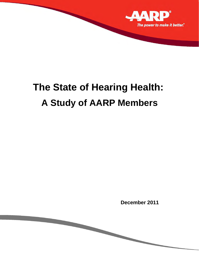

# **The State of Hearing Health: A Study of AARP Members**

**December 2011**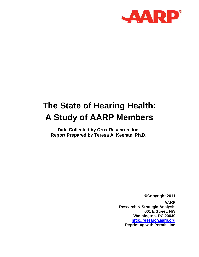

# **The State of Hearing Health: A Study of AARP Members**

**Data Collected by Crux Research, Inc. Report Prepared by Teresa A. Keenan, Ph.D.** 

> *©***Copyright 2011 AARP Research & Strategic Analysis 601 E Street, NW Washington, DC 20049 http://research.aarp.org Reprinting with Permission**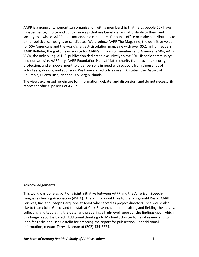AARP is a nonprofit, nonpartisan organization with a membership that helps people 50+ have independence, choice and control in ways that are beneficial and affordable to them and society as a whole. AARP does not endorse candidates for public office or make contributions to either political campaigns or candidates. We produce AARP The Magazine, the definitive voice for 50+ Americans and the world's largest-circulation magazine with over 35.1 million readers; AARP Bulletin, the go-to news source for AARP's millions of members and Americans 50+; AARP VIVA, the only bilingual U.S. publication dedicated exclusively to the 50+ Hispanic community; and our website, AARP.org. AARP Foundation is an affiliated charity that provides security, protection, and empowerment to older persons in need with support from thousands of volunteers, donors, and sponsors. We have staffed offices in all 50 states, the District of Columbia, Puerto Rico, and the U.S. Virgin Islands.

The views expressed herein are for information, debate, and discussion, and do not necessarily represent official policies of AARP.

# **Acknowledgements**

This work was done as part of a joint initiative between AARP and the American Speech‐ Language‐Hearing Association (ASHA). The author would like to thank Reginald Ray at AARP Services, Inc. and Joseph Cerquone at ASHA who served as project directors. She would also like to thank John Geraci and the staff at Crux Research, Inc. for drafting and fielding the survey, collecting and tabulating the data, and preparing a high‐level report of the findings upon which this longer report is based. Additional thanks go to Michael Schuster for legal review and to Jennifer Leslie and Lisa Costello for prepping the report for publication. For additional information, contact Teresa Keenan at (202) 434‐6274.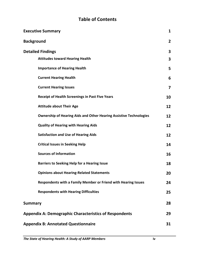# **Table of Contents**

| <b>Executive Summary</b>                                                  | $\mathbf{1}$   |
|---------------------------------------------------------------------------|----------------|
| <b>Background</b>                                                         | $\overline{2}$ |
| <b>Detailed Findings</b>                                                  | 3              |
| <b>Attitudes toward Hearing Health</b>                                    | 3              |
| <b>Importance of Hearing Health</b>                                       | 5              |
| <b>Current Hearing Health</b>                                             | 6              |
| <b>Current Hearing Issues</b>                                             | 7              |
| <b>Receipt of Health Screenings in Past Five Years</b>                    | 10             |
| <b>Attitude about Their Age</b>                                           | 12             |
| <b>Ownership of Hearing Aids and Other Hearing Assistive Technologies</b> | 12             |
| <b>Quality of Hearing with Hearing Aids</b>                               | 12             |
| <b>Satisfaction and Use of Hearing Aids</b>                               | 12             |
| <b>Critical Issues in Seeking Help</b>                                    | 14             |
| <b>Sources of Information</b>                                             | 16             |
| <b>Barriers to Seeking Help for a Hearing Issue</b>                       | 18             |
| <b>Opinions about Hearing-Related Statements</b>                          | 20             |
| Respondents with a Family Member or Friend with Hearing Issues            | 24             |
| <b>Respondents with Hearing Difficulties</b>                              | 25             |
| <b>Summary</b>                                                            | 28             |
| <b>Appendix A: Demographic Characteristics of Respondents</b>             | 29             |
| <b>Appendix B: Annotated Questionnaire</b>                                | 31             |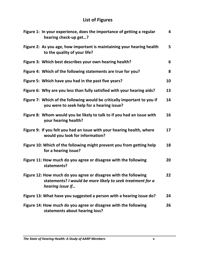# **List of Figures**

| Figure 1: In your experience, does the importance of getting a regular<br>hearing check-up get?                                                   | 4  |
|---------------------------------------------------------------------------------------------------------------------------------------------------|----|
| Figure 2: As you age, how important is maintaining your hearing health<br>to the quality of your life?                                            | 5  |
| Figure 3: Which best describes your own hearing health?                                                                                           | 6  |
| Figure 4: Which of the following statements are true for you?                                                                                     | 8  |
| Figure 5: Which have you had in the past five years?                                                                                              | 10 |
| Figure 6: Why are you less than fully satisfied with your hearing aids?                                                                           | 13 |
| Figure 7: Which of the following would be critically important to you if<br>you were to seek help for a hearing issue?                            | 14 |
| Figure 8: Whom would you be likely to talk to if you had an issue with<br>your hearing health?                                                    | 16 |
| Figure 9: If you felt you had an issue with your hearing health, where<br>would you look for information?                                         | 17 |
| Figure 10: Which of the following might prevent you from getting help<br>for a hearing issue?                                                     | 18 |
| Figure 11: How much do you agree or disagree with the following<br>statements?                                                                    | 20 |
| Figure 12: How much do you agree or disagree with the following<br>statements? I would be more likely to seek treatment for a<br>hearing issue if | 22 |
| Figure 13: What have you suggested a person with a hearing issue do?                                                                              | 24 |
| Figure 14: How much do you agree or disagree with the following<br>statements about hearing loss?                                                 | 26 |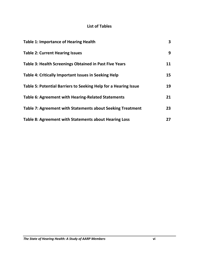# **List of Tables**

| <b>Table 1: Importance of Hearing Health</b>                    | 3  |
|-----------------------------------------------------------------|----|
| <b>Table 2: Current Hearing Issues</b>                          | 9  |
| <b>Table 3: Health Screenings Obtained in Past Five Years</b>   | 11 |
| Table 4: Critically Important Issues in Seeking Help            | 15 |
| Table 5: Potential Barriers to Seeking Help for a Hearing Issue | 19 |
| <b>Table 6: Agreement with Hearing-Related Statements</b>       | 21 |
| Table 7: Agreement with Statements about Seeking Treatment      | 23 |
| Table 8: Agreement with Statements about Hearing Loss           | 27 |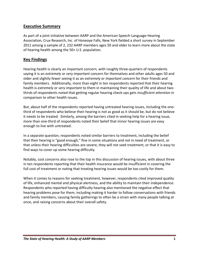# **Executive Summary**

As part of a joint initiative between AARP and the American Speech‐Language‐Hearing Association, Crux Research, Inc. of Honeoye Falls, New York fielded a short survey in September 2011 among a sample of 2, 232 AARP members ages 50 and older to learn more about the state of hearing health among the 50+ U.S. population.

# **Key Findings**

Hearing health is clearly an important concern, with roughly three-quarters of respondents saying it is an *extremely* or *very important* concern for themselves and other adults ages 50 and older and slightly fewer seeing it as an *extremely* or *important concern* for their friends and family members. Additionally, more than eight in ten respondents reported that their hearing health is *extremely* or *very important* to them in maintaining their quality of life and about two‐ thirds of respondents noted that getting regular hearing check‐ups gets *insufficient attention* in comparison to other health issues.

But, about half of the respondents reported having untreated hearing issues, including the one‐ third of respondents who believe their hearing is not as good as it should be, but do not believe it needs to be treated. Similarly, among the barriers cited in seeking help for a hearing issue, more than one-third of respondents noted their belief that minor hearing issues are easy enough to live with untreated.

In a separate question, respondents noted similar barriers to treatment, including the belief that their hearing is "good enough," fine in some situations and not in need of treatment, or that unless their hearing difficulties are severe, they will not seek treatment, or that it is easy to find ways to cover up some hearing difficulty.

Notably, cost concerns also rose to the top in this discussion of hearing issues, with about three in ten respondents reporting that their health insurance would be insufficient in covering the full cost of treatment or noting that treating hearing issues would be too costly for them.

When it comes to reasons for seeking treatment, however, respondents cited improved quality of life, enhanced mental and physical alertness, and the ability to maintain their independence. Respondents who reported having difficulty hearing also mentioned the negative effect that hearing problems pose for them, including making it harder to follow conversations with friends and family members, causing family gatherings to often be a strain with many people talking at once, and raising concerns about their overall safety.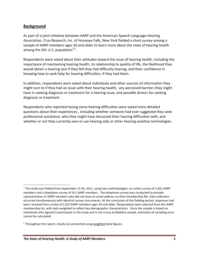# **Background**

As part of a joint initiative between AARP and the American Speech‐Language‐Hearing Association, Crux Research, Inc. of Honeoye Falls, New York fielded a short survey among a sample of AARP members ages 50 and older to learn more about the state of hearing health among the 50+ U.S. population $1/2$ .

Respondents were asked about their attitudes toward the issue of hearing health, including the importance of maintaining hearing health, its relationship to quality of life, the likelihood they would obtain a hearing test if they felt they had difficulty hearing, and their confidence in knowing how to seek help for hearing difficulties, if they had them.

In addition, respondents were asked about individuals and other sources of information they might turn to if they had an issue with their hearing health, any perceived barriers they might have in seeking diagnosis or treatment for a hearing issue, and possible drivers for seeking diagnosis or treatment.

Respondents who reported having some hearing difficulties were asked more detailed questions about their experiences , including whether someone had ever suggested they seek professional assistance, who they might have discussed their hearing difficulties with, and whether or not they currently own or use hearing aids or other hearing assistive technologies.

 $1$  The study was fielded from September 13-26, 2011, using two methodologies: an online survey of 1,821 AARP members and a telephone survey of 411 AARP members. The telephone survey was conducted to provide representation of AARP members who did not have an email address on their membership file. Data collection occurred simultaneously with identical survey instruments. At the conclusion of the fielding period, responses had been received from a total of 2,232 AARP members ages 50 and older. Respondents were selected from the AARP membership list, with data weighted to reflect key demographic characteristics. Since the sample is based on individuals who agreed to participate in the study and is not a true probability sample, estimates of sampling error cannot be calculated.

 $2$  Throughout the report, results are presented using weighted data figures.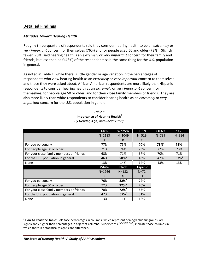# **Detailed Findings**

# *Attitudes Toward Hearing Health*

Roughly three‐quarters of respondents said they consider hearing health to be an *extremely* or *very important* concern for themselves (76%) and for people aged 50 and older (73%). Slightly fewer (70%) said hearing health is an *extremely* or *very important* concern for their family and friends, but less than half (48%) of the respondents said the same thing for the U.S. population in general.

As noted in Table 1, while there is little gender or age variation in the percentages of respondents who view hearing health as an *extremely* or *very important* concern to themselves and those they were asked about, African American respondents are more likely than Hispanic respondents to consider hearing health as an *extremely* or *very important* concern for themselves, for people age 50 or older, and for their close family members or friends. They are also more likely than white respondents to consider hearing health as an *extremely* or *very important* concern for the U.S. population in general.

|                                          | Men        | Women               | 50-59     | 60-69            | 70-79            |
|------------------------------------------|------------|---------------------|-----------|------------------|------------------|
|                                          | $N = 1183$ | $N = 1049$          | $N = 519$ | $N = 799$        | $N = 914$        |
|                                          | A          | B                   | C         | D                | F                |
| For you personally                       | 77%        | 75%                 | 70%       | 78% <sup>c</sup> | 78% <sup>c</sup> |
| For people age 50 or older               | 71%        | 74%                 | 73%       | 72%              | 73%              |
| For your close family members or friends | 68%        | 71%                 | 67%       | 70%              | 71%              |
| For the U.S. population in general       | 46%        | $50\%$              | 43%       | 47%              | $52\%$           |
| None                                     | 13%        | 14%                 | 14%       | 13%              | 13%              |
|                                          | White      | <b>Black</b>        | Hispanic  |                  |                  |
|                                          | $N = 1966$ | $N = 182$           | $N = 72$  |                  |                  |
|                                          | F          | G                   | H         |                  |                  |
| For you personally                       | 76%        | $82\%$ <sup>h</sup> | 72%       |                  |                  |
| For people age 50 or older               | 72%        | $77\%$ <sup>h</sup> | 70%       |                  |                  |
| For your close family members or friends | 70%        | $72\%$ <sup>h</sup> | 65%       |                  |                  |
| For the U.S. population in general       | 47%        | $57\%$ <sup>f</sup> | 51%       |                  |                  |
| None                                     | 13%        | 11%                 | 16%       |                  |                  |

#### *Table 1* **Importance of Hearing Health<sup>3</sup>** *By Gender, Age, and Racial Group*

<sup>3</sup> **How to Read the Table**: Bold face percentages in columns (which represent demographic subgroups) are significantly higher than percentages in adjacent columns. Superscripts (<sup>a/b, c/d/e, f/g/h</sup>) indicate those columns in which there is a statistically significant difference.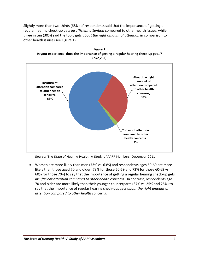Slightly more than two‐thirds (68%) of respondents said that the importance of getting a regular hearing check‐up gets *insufficient attention* compared to other health issues, while three in ten (30%) said the topic gets *about the right amount of attention* in comparison to other health issues (see Figure 1).



*Figure 1* **In your experience, does the importance of getting a regular hearing check‐up get…? (n=2,232)**

*Source: The State of Hearing Health: A Study of AARP Members,* December 2011

 Women are more likely than men (73% vs. 63%) and respondents ages 50‐69 are more likely than those aged 70 and older (73% for those 50‐59 and 72% for those 60‐69 vs. 60% for those 70+) to say that the importance of getting a regular hearing check‐up gets *insufficient attention compared to other health concerns*. In contrast, respondents age 70 and older are more likely than their younger counterparts (37% vs. 25% and 25%) to say that the importance of regular hearing check‐ups gets *about the right amount of attention compared to other health concerns.*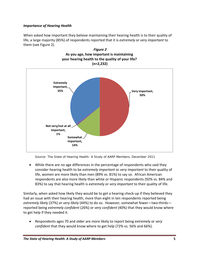# *Importance of Hearing Health*

When asked how important they believe maintaining their hearing health is to their quality of life, a large majority (85%) of respondents reported that it is *extremely* or *very important* to them (see Figure 2).



*Figure 2* **As you age, how important is maintaining your hearing health to the quality of your life?**

*Source: The State of Hearing Health: A Study of AARP Members,* December 2011

 While there are no age differences in the percentage of respondents who said they consider hearing health to be *extremely important* or *very important* to their quality of life, women are more likely than men (89% vs. 81%) to say so. African American respondents are also more likely than white or Hispanic respondents (92% vs. 84% and 83%) to say that hearing health is *extremely* or *very important* to their quality of life.

Similarly, when asked how likely they would be to get a hearing check‐up if they believed they had an issue with their hearing health, more than eight in ten respondents reported being *extremely likely* (37%) or *very likely* (44%) to do so. However, somewhat fewer—two‐thirds reported being *extremely confident* (26%) or *very confident* (40%) that they would know where to get help if they needed it.

 Respondents ages 70 and older are more likely to report being *extremely* or *very confident* that they would know where to get help (72% vs. 56% and 66%).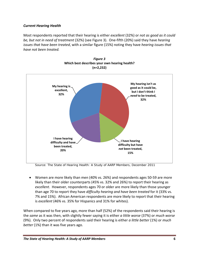# *Current Hearing Health*

Most respondents reported that their hearing is either *excellent* (32%) or *not as good as it could be, but not in need of treatment* (32%) (see Figure 3). One‐fifth (20%) said they have *hearing issues that have been treated*, with a similar figure (15%) noting they have *hearing issues that have not been treated.*



*Figure 3* **Which best describes your own hearing health? (n=2,232)**

*Source: The State of Hearing Health: A Study of AARP Members,* December 2011

 Women are more likely than men (40% vs. 26%) and respondents ages 50‐59 are more likely than their older counterparts (45% vs. 32% and 26%) to report their hearing as *excellent*. However, respondents ages 70 or older are more likely than those younger than age 70 to report they have *difficulty hearing and have been treated* for it (33% vs. 7% and 15%). African American respondents are more likely to report that their hearing is *excellent* (46% vs. 35% for Hispanics and 31% for whites).

When compared to five years ago, more than half (52%) of the respondents said their hearing is the *same* as it was then, with slightly fewer saying it is either *a little worse* (37%) or *much worse* (9%). Only two percent of respondents said their hearing is either *a little better* (1%) or *much better* (1%) than it was five years ago.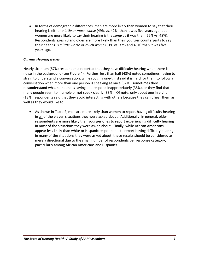• In terms of demographic differences, men are more likely than women to say that their hearing is either *a little or much worse* (49% vs. 42%) than it was five years ago, but women are more likely to say their hearing is the *same* as it was then (56% vs. 48%). Respondents ages 70 and older are more likely than their younger counterparts to say their hearing is *a little worse* or *much worse* (51% vs. 37% and 45%) than it was five years ago.

# *Current Hearing Issues*

Nearly six in ten (57%) respondents reported that they have difficulty hearing when there is noise in the background (see Figure 4). Further, less than half (48%) noted sometimes having to strain to understand a conversation, while roughly one‐third said it is hard for them to follow a conversation when more than one person is speaking at once (37%), sometimes they misunderstand what someone is saying and respond inappropriately (35%), or they find that many people seem to mumble or not speak clearly (33%). Of note, only about one in eight (13%) respondents said that they avoid interacting with others because they can't hear them as well as they would like to.

 As shown in Table 2, men are more likely than women to report having difficulty hearing in all of the eleven situations they were asked about. Additionally, in general, older respondents are more likely than younger ones to report experiencing difficulty hearing in most of the situations they were asked about. Finally, while African Americans appear less likely than white or Hispanic respondents to report having difficulty hearing in many of the situations they were asked about, these results should be considered as merely directional due to the small number of respondents per response category, particularly among African Americans and Hispanics.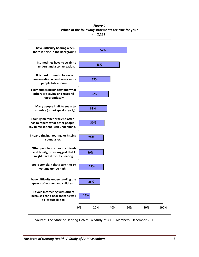*Figure 4* **Which of the following statements are true for you? (n=2,232)**



*Source: The State of Hearing Health: A Study of AARP Members,* December 2011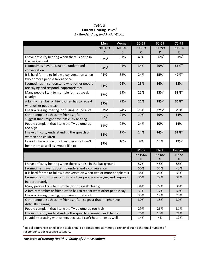### *Table 2* **Current Hearing Issues<sup>4</sup>**  *By Gender, Age, and Racial Group*

|                                                                         | Men                 | Women      | 50-59        | 60-69            | 70-79                |
|-------------------------------------------------------------------------|---------------------|------------|--------------|------------------|----------------------|
|                                                                         | $N = 1183$          | $N = 1049$ | $N = 519$    | $N = 799$        | $N = 914$            |
|                                                                         | $\mathsf{A}$        | B          | $\mathsf{C}$ | D                | E                    |
| I have difficulty hearing when there is noise in                        | $62\%$              | 51%        | 49%          | $56\%$           | $61\%$               |
| the background                                                          |                     |            |              |                  |                      |
| I sometimes have to strain to understand a                              | $54\%$              | 41%        | 34%          | 49% <sup>c</sup> | $56\%$ <sup>cd</sup> |
| conversation                                                            |                     |            |              |                  |                      |
| It is hard for me to follow a conversation when                         | $42\%$              | 32%        | 24%          | 35% <sup>c</sup> | $47\%$ <sup>cd</sup> |
| two or more people talk at once                                         |                     |            |              |                  |                      |
| I sometimes misunderstand what other people                             | $41\%$              | 28%        | 28%          | $36\%$           | 38% <sup>c</sup>     |
| are saying and respond inappropriately                                  |                     |            |              |                  |                      |
| Many people I talk to mumble (or not speak                              | $37\%$ <sup>b</sup> | 29%        | 25%          | 33% <sup>c</sup> | 39% <sup>cd</sup>    |
| clearly)                                                                |                     |            |              |                  |                      |
| A family member or friend often has to repeat                           | $37\%$ <sup>b</sup> | 22%        | 21%          | 28% <sup>c</sup> | $36\%$ <sup>cd</sup> |
| what other people say                                                   |                     |            |              |                  |                      |
| I hear a ringing, roaring, or hissing sound a lot                       | $33\%$              | 24%        | 25%          | 32% <sup>c</sup> | 29%                  |
| Other people, such as my friends, often                                 | $35\%$              | 21%        | 19%          | 29% <sup>c</sup> | $34\%$               |
| suggest that I might have difficulty hearing                            |                     |            |              |                  |                      |
| People complain that I turn the TV volume up                            | $34\%$ <sup>b</sup> | 22%        | 24%          | $30\%$           | 34%                  |
| too high                                                                |                     |            |              |                  |                      |
| I have difficulty understanding the speech of                           | $32\%$              | 17%        | 14%          | 24%              | $32\%$ <sup>cd</sup> |
| women and children                                                      |                     |            |              |                  |                      |
| I avoid interacting with others because I can't                         | 17% <sup>b</sup>    | 10%        | 9%           | 13%              | 17% <sup>c</sup>     |
| hear them as well as I would like to                                    |                     |            |              |                  |                      |
|                                                                         |                     |            | White        | <b>Black</b>     | Hispanic             |
|                                                                         |                     |            | $N = 1966$   | $N = 182$        | $N=72$               |
|                                                                         |                     |            | F            | G                | н                    |
| I have difficulty hearing when there is noise in the background         |                     |            | 57%          | 48%              | 58%                  |
| I sometimes have to strain to understand a conversation                 |                     |            | 50%          | 32%              | 43%                  |
| It is hard for me to follow a conversation when two or more people talk |                     |            | 38%          | 26%              | 33%                  |
| I sometimes misunderstand what other people are saying and respond      |                     |            | 36%          | 29%              | 34%                  |
| inappropriately                                                         |                     |            |              |                  |                      |
| Many people I talk to mumble (or not speak clearly)                     |                     |            | 34%          | 22%              | 36%                  |
| A family member or friend often has to repeat what other people say     |                     |            | 31%          | 17%              | 30%                  |
| I hear a ringing, roaring, or hissing sound a lot                       |                     |            | 30%          | 18%              | 25%                  |
| Other people, such as my friends, often suggest that I might have       |                     |            | 30%          | 18%              | 30%                  |
| difficulty hearing                                                      |                     |            |              |                  |                      |
| People complain that I turn the TV volume up too high                   |                     |            | 29%          | 26%              | 31%                  |
| I have difficulty understanding the speech of women and children        |                     |            | 26%          | 10%              | 24%                  |
| I avoid interacting with others because I can't hear them as well       |                     | 14%        | 4%           | 12%              |                      |

 $^4$  Racial differences cited in the table should be considered as merely directional due to the small number of respondents per response category.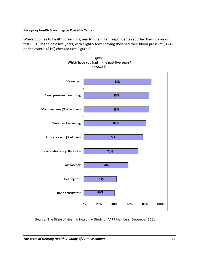# *Receipt of Health Screenings in Past Five Years*

When it comes to health screenings, nearly nine in ten respondents reported having a vision test (88%) in the past five years, with slightly fewer saying they had their blood pressure (85%) or cholesterol (81%) checked (see Figure 5).



*Figure 5* **Which have you had in the past five years? (n=2,232)**

*Source: The State of Hearing Health: A Study of AARP Members,* December 2011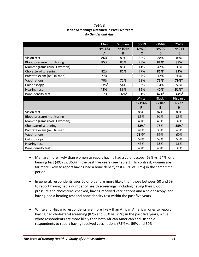#### *Table 3* **Health Screenings Obtained in Past Five Years** *By Gender and Age*

|                                  | Men                 | Women               | 50-59                | 60-69               | 70-79                |
|----------------------------------|---------------------|---------------------|----------------------|---------------------|----------------------|
|                                  | $N = 1183$          | $N = 1049$          | $N = 519$            | $N = 799$           | $N = 914$            |
|                                  | A                   | B                   | C                    | D                   | E                    |
| Vision test                      | 86%                 | 89%                 | 85%                  | 88%                 | 89%                  |
| <b>Blood pressure monitoring</b> | 85%                 | 85%                 | 78%                  | $87\%$ <sup>c</sup> | 88% <sup>c</sup>     |
| Mammograms (n=891 women)         | -----               | 85%                 | 41%                  | 42%                 | 37%                  |
| Cholesterol screening            | 82%                 | 81%                 | 77%                  | 85% <sup>c</sup>    | 81% <sup>c</sup>     |
| Prostate exam (n=916 men)        | 77%                 | -----               | 37%                  | 42%                 | 43%                  |
| Vaccinations                     | 70%                 | 72%                 | 58%                  | $71\%$ <sup>c</sup> | 79% <sup>cd</sup>    |
| Colonoscopy                      | $63\%$ <sup>b</sup> | 54%                 | 53%                  | 64%                 | 57%                  |
| Hearing test                     | $49\%$ <sup>b</sup> | 36%                 | 32%                  | 40% <sup>c</sup>    | $51\%$ <sup>cd</sup> |
| Bone density test                | 17%                 | $66\%$ <sup>a</sup> | 31%                  | $42\%$              | 44% <sup>c</sup>     |
|                                  |                     |                     | White                | <b>Black</b>        | Hispanic             |
|                                  |                     |                     | $N = 1966$           | $N = 182$           | $N=72$               |
|                                  |                     |                     | F                    | G                   | H                    |
| Vision test                      |                     |                     | 88%                  | 82%                 | 80%                  |
| Blood pressure monitoring        |                     |                     | 85%                  | 91%                 | 83%                  |
| Mammograms (n=891 women)         |                     |                     | 40%                  | 43%                 | 37%                  |
| Cholesterol screening            |                     |                     | $82\%$ <sup>g</sup>  | 75%                 | $85\%$ <sup>g</sup>  |
| Prostate exam (n=916 men)        |                     |                     | 41%                  | 39%                 | 43%                  |
| Vaccinations                     |                     |                     | $73\%$ <sup>gh</sup> | 59%                 | 60%                  |
| Colonoscopy                      |                     |                     | 58%                  | 59%                 | 55%                  |
| <b>Hearing test</b>              |                     |                     | 43%                  | 38%                 | 36%                  |
| Bone density test                |                     |                     | 40%                  | 40%                 | 37%                  |

- Men are more likely than women to report having had a colonoscopy (63% vs. 54%) or a hearing test (49% vs. 36%) in the past five years (see Table 3). In contrast, women are far more likely to report having had a bone density test (66% vs. 17%) in the same time period.
- In general, respondents ages 60 or older are more likely than those between 50 and 59 to report having had a number of health screenings, including having their blood pressure and cholesterol checked, having received vaccinations and a colonoscopy, and having had a hearing test and bone density test within the past five years.
- White and Hispanic respondents are more likely than African American ones to report having had cholesterol screening (82% and 85% vs. 75%) in the past five years, while white respondents are more likely than both African American and Hispanic respondents to report having received vaccinations (73% vs. 59% and 60%).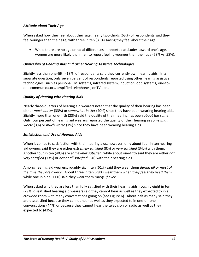# *Attitude about Their Age*

When asked how they feel about their age, nearly two-thirds (63%) of respondents said they feel younger than their age, with three in ten (31%) saying they feel about their age.

 While there are no age or racial differences in reported attitudes toward one's age, women are more likely than men to report feeling younger than their age (68% vs. 58%).

# *Ownership of Hearing Aids and Other Hearing Assistive Technologies*

Slightly less than one-fifth (18%) of respondents said they currently own hearing aids. In a separate question, only seven percent of respondents reported using other hearing assistive technologies, such as personal FM systems, infrared system, induction loop systems, one‐to‐ one communicators, amplified telephones, or TV ears.

# *Quality of Hearing with Hearing Aids*

Nearly three‐quarters of hearing aid wearers noted that the quality of their hearing has been either *much better* (33%) or *somewhat better* (40%) since they have been wearing hearing aids. Slightly more than one‐fifth (23%) said the quality of their hearing has been *about the same*. Only four percent of hearing aid wearers reported the quality of their hearing as *somewhat worse* (3%) or *much worse* (1%) since they have been wearing hearing aids.

# *Satisfaction and Use of Hearing Aids*

When it comes to satisfaction with their hearing aids, however, only about four in ten hearing aid owners said they are either *extremely satisfied* (8%) or *very satisfied* (34%) with them. Another four in ten (40%) are *somewhat satisfied*, while about one‐fifth said they are either *not very satisfied* (13%) or *not at all satisfied* (6%) with their hearing aids.

Among hearing aid wearers, roughly six in ten (61%) said they wear them *during all or most of the time they are awake*. About three in ten (28%) wear them when they *feel they need them*, while one in nine (11%) said they wear them *rarely, if ever*.

When asked why they are less than fully satisfied with their hearing aids, roughly eight in ten (79%) dissatisfied hearing aid wearers said they cannot hear as well as they expected to in a crowded room with many conversations going on (see Figure 6). About half as many said they are dissatisfied because they cannot hear as well as they expected to in one‐on‐one conversations (44%) or because they cannot hear the television or radio as well as they expected to (42%).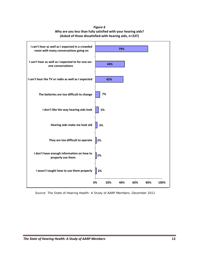*Figure 6* **Why are you less than fully satisfied with your hearing aids? (Asked of those dissatisfied with hearing aids, n=237)**



*Source: The State of Hearing Health: A Study of AARP Members,* December 2011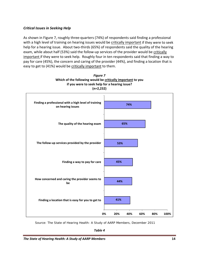# *Critical Issues in Seeking Help*

As shown in Figure 7, roughly three‐quarters (74%) of respondents said finding a professional with a high level of training on hearing issues would be critically important if they were to seek help for a hearing issue. About two-thirds (65%) of respondents said the quality of the hearing exam, while about half (53%) said the follow-up services of the provider would be critically important if they were to seek help. Roughly four in ten respondents said that finding a way to pay for care (45%), the concern and caring of the provider (44%), and finding a location that is easy to get to (41%) would be critically important to them.



*Figure 7* **Which of the following would be critically important to you if you were to seek help for a hearing issue?** 

*Source: The State of Hearing Health: A Study of AARP Members,* December 2011

*Table 4*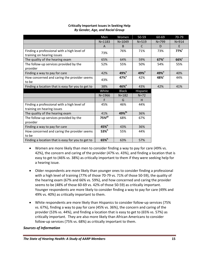|                                                                           | Men                  | Women               | 50-59            | 60-69            | 70-79               |
|---------------------------------------------------------------------------|----------------------|---------------------|------------------|------------------|---------------------|
|                                                                           | $N = 1183$           | $N = 1049$          | $N = 519$        | $N = 799$        | $N = 914$           |
|                                                                           | A                    | B                   | C                | D                | F                   |
| Finding a professional with a high level of<br>training on hearing issues | 73%                  | 76%                 | 71%              | 73%              | $77\%$ <sup>c</sup> |
| The quality of the hearing exam                                           | 65%                  | 64%                 | 59%              | $67\%$           | 66% <sup>c</sup>    |
| The follow-up services provided by the<br>provider                        | 52%                  | 55%                 | 50%              | 54%              | 55%                 |
| Finding a way to pay for care                                             | 42%                  | 49% <sup>a</sup>    | 49% <sup>e</sup> | 49% <sup>e</sup> | 40%                 |
| How concerned and caring the provider seems<br>to be                      | 43%                  | $47\%$ <sup>a</sup> | 42%              | 48% <sup>c</sup> | 44%                 |
| Finding a location that is easy for you to get to                         | 38%                  | $46\%$ <sup>a</sup> | 43%              | 42%              | 41%                 |
|                                                                           |                      |                     |                  |                  |                     |
|                                                                           | White                | <b>Black</b>        | Hispanic         |                  |                     |
|                                                                           | $N = 1966$           | $N = 182$           | $N=72$           |                  |                     |
|                                                                           | F                    | G                   | H.               |                  |                     |
| Finding a professional with a high level of<br>training on hearing issues | 45%                  | 46%                 | 44%              |                  |                     |
| The quality of the hearing exam                                           | 41%                  | 49% <sup>fh</sup>   | 36%              |                  |                     |
| The follow-up services provided by the<br>provider                        | $75\%$ <sup>gh</sup> | 68%                 | 67%              |                  |                     |
| Finding a way to pay for care                                             | $45\%$ <sup>h</sup>  | 43%                 | 36%              |                  |                     |
| How concerned and caring the provider seems<br>to be                      | $53\%$ <sup>h</sup>  | 55%                 | 44%              |                  |                     |

## **Critically Important Issues in Seeking Help** *By Gender, Age, and Racial Group*

- Women are more likely than men to consider finding a way to pay for care (49% vs. 42%), the concern and caring of the provider (47% vs. 43%), and finding a location that is easy to get to (46% vs. 38%) as critically important to them if they were seeking help for a hearing issue.
- Older respondents are more likely than younger ones to consider finding a professional with a high level of training (77% of those 70‐79 vs. 71% of those 50‐59), the quality of the hearing exam (67% and 66% vs. 59%), and how concerned and caring the provider seems to be (48% of those 60‐69 vs. 42% of those 50‐59) as critically important. Younger respondents are more likely to consider finding a way to pay for care (49% and 49% vs. 40%) as critically important to them.
- White respondents are more likely than Hispanics to consider follow-up services (75% vs. 67%), finding a way to pay for care (45% vs. 36%), the concern and caring of the provider (53% vs. 44%), and finding a location that is easy to get to (65% vs. 57%) as critically important. They are also more likely than African Americans to consider follow‐up services (75% vs. 68%) as critically important to them.

# *Sources of Information*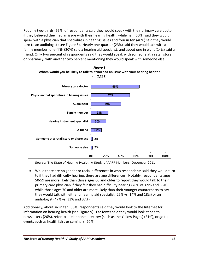Roughly two-thirds (65%) of respondents said they would speak with their primary care doctor if they believed they had an issue with their hearing health, while half (50%) said they would speak with a physician that specializes in hearing issues and four in ten (40%) said they would turn to an audiologist (see Figure 8). Nearly one‐quarter (23%) said they would talk with a family member, one‐fifth (20%) said a hearing aid specialist, and about one in eight (14%) said a friend. Only two percent of respondents said they would speak with someone at a retail store or pharmacy, with another two percent mentioning they would speak with someone else.



*Figure 8* **Whom would you be likely to talk to if you had an issue with your hearing health?** 

*Source: The State of Hearing Health: A Study of AARP Members,* December 2011

 While there are no gender or racial differences in who respondents said they would turn to if they had difficulty hearing, there are age differences. Notably, respondents ages 50‐59 are more likely than those ages 60 and older to report they would talk to their primary care physician if they felt they had difficulty hearing (76% vs. 69% and 56%), while those ages 70 and older are more likely than their younger counterparts to say they would talk with either a hearing aid specialist (25% vs. 14% and 18%) or an audiologist (47% vs. 33% and 37%).

Additionally, about six in ten (58%) respondents said they would look to the Internet for information on hearing health (see Figure 9). Far fewer said they would look at health newsletters (26%), refer to a telephone directory (such as the Yellow Pages) (21%), or go to events such as health fairs or seminars (20%).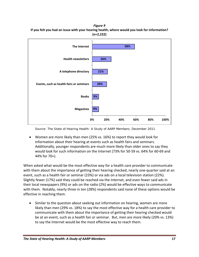*Figure 9* **If you felt you had an issue with your hearing health, where would you look for information? (n=2,232)**



*Source: The State of Hearing Health: A Study of AARP Members,* December 2011

 Women are more likely than men (25% vs. 16%) to report they would look for information about their hearing at events such as health fairs and seminars. Additionally, younger respondents are much more likely than older ones to say they would look for such information on the Internet (73% for 50‐59 vs. 64% for 60‐69 and 44% for 70+).

When asked what would be the most effective way for a health care provider to communicate with them about the importance of getting their hearing checked, nearly one-quarter said at an event, such as a health fair or seminar (23%) or via ads on a local television station (22%). Slightly fewer (17%) said they could be reached via the Internet, and even fewer said ads in their local newspapers (9%) or ads on the radio (2%) would be effective ways to communicate with them. Notably, nearly three in ten (28%) respondents said none of these options would be effective in reaching them.

 Similar to the question about seeking out information on hearing, women are more likely than men (29% vs. 18%) to say the most effective way for a health care provider to communicate with them about the importance of getting their hearing checked would be at an event, such as a health fair or seminar. But, men are more likely (20% vs. 13%) to say the Internet would be the most effective way to reach them.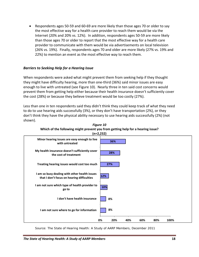Respondents ages 50‐59 and 60‐69 are more likely than those ages 70 or older to say the most effective way for a health care provider to reach them would be via the Internet (20% and 20% vs. 12%). In addition, respondents ages 50‐59 are more likely than those ages 70 or older to report that the most effective way for a health care provider to communicate with them would be via advertisements on local television (26% vs. 19%). Finally, respondents ages 70 and older are more likely (27% vs. 19% and 22%) to mention an event as the most effective way to reach them.

# *Barriers to Seeking Help for a Hearing Issue*

When respondents were asked what might prevent them from seeking help if they thought they might have difficulty hearing, more than one‐third (36%) said minor issues are easy enough to live with untreated (see Figure 10). Nearly three in ten said cost concerns would prevent them from getting help either because their health insurance doesn't sufficiently cover the cost (28%) or because they believe treatment would be too costly (27%).

Less than one in ten respondents said they didn't think they could keep track of what they need to do to use hearing aids successfully (3%), or they don't have transportation (2%), or they don't think they have the physical ability necessary to use hearing aids successfully (2%) (not shown).



*Figure 10* **Which of the following might prevent you from getting help for a hearing issue? (n=2,232)**

*Source: The State of Hearing Health: A Study of AARP Members,* December 2011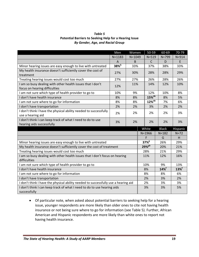| Table 5                                                       |
|---------------------------------------------------------------|
| <b>Potential Barriers to Seeking Help for a Hearing Issue</b> |
| By Gender, Age, and Racial Group                              |

|                                                                                             | Men          | Women      |  | $50 - 59$            | 60-69               | 70-79     |
|---------------------------------------------------------------------------------------------|--------------|------------|--|----------------------|---------------------|-----------|
|                                                                                             | $N = 1183$   | $N = 1049$ |  | $N = 519$            | $N = 799$           | $N = 914$ |
|                                                                                             | $\mathsf{A}$ | B          |  | $\mathsf{C}$         | D                   | E         |
| Minor hearing issues are easy enough to live with untreated                                 | $38\%$       | 33%        |  | 37%                  | 38%                 | 33%       |
| My health insurance doesn't sufficiently cover the cost of<br>treatment                     | 27%          | 30%        |  | 28%                  | 28%                 | 29%       |
| Treating hearing issues would cost too much                                                 | 27%          | 27%        |  | 26%                  | 28%                 | 26%       |
| I am so busy dealing with other health issues that I don't<br>focus on hearing difficulties | 12%          | 11%        |  | 14%                  | 12%                 | 10%       |
| I am not sure which type of health provider to go to                                        | 10%          | 9%         |  | 12%                  | 10%                 | 8%        |
| I don't have health insurance                                                               | 8%           | 8%         |  | $15\%$ <sup>de</sup> | 8%                  | 5%        |
| I am not sure where to go for information                                                   | 8%           | 8%         |  | $12\%$ <sup>de</sup> | 7%                  | 6%        |
| I don't have transportation                                                                 | 2%           | 2%         |  | 3%                   | 2%                  | 2%        |
| I don't think I have the physical ability needed to successfully<br>use a hearing aid       | 2%           | 2%         |  | 2%                   | 2%                  | 3%        |
| I don't think I can keep track of what I need to do to use<br>hearing aids successfully     | 3%           | 2%         |  | 2%                   | 2%                  | 3%        |
|                                                                                             |              |            |  | White                | <b>Black</b>        | Hispanic  |
|                                                                                             |              |            |  | $N = 1966$           | $N = 182$           | $N=72$    |
|                                                                                             |              |            |  | F                    | G                   | H         |
| Minor hearing issues are easy enough to live with untreated                                 |              |            |  | $37\%$ <sup>g</sup>  | 26%                 | 29%       |
| My health insurance doesn't sufficiently cover the cost of treatment                        |              |            |  | $29%$ <sup>gh</sup>  | 20%                 | 21%       |
| Treating hearing issues would cost too much                                                 |              |            |  | 28%                  | 21%                 | 29%       |
| I am so busy dealing with other health issues that I don't focus on hearing                 |              |            |  | 11%                  | 12%                 | 16%       |
| difficulties                                                                                |              |            |  |                      |                     |           |
| I am not sure which type of health provider to go to                                        |              |            |  | 10%                  | 9%                  | 13%       |
| I don't have health insurance                                                               |              |            |  | 8%                   | $14\%$ <sup>f</sup> | $13\%$    |
| I am not sure where to go for information                                                   |              |            |  | 8%                   | 8%                  | 6%        |
| I don't have transportation                                                                 |              |            |  | 2%                   | 3%                  | 2%        |
| I don't think I have the physical ability needed to successfully use a hearing aid          |              |            |  | 2%                   | 3%                  | 3%        |
| I don't think I can keep track of what I need to do to use hearing aids<br>successfully     |              |            |  | 3%                   | 3%                  | 5%        |

 Of particular note, when asked about potential barriers to seeking help for a hearing issue, younger respondents are more likely than older ones to cite not having health insurance or not being sure where to go for information (see Table 5). Further, African American and Hispanic respondents are more likely than white ones to report not having health insurance.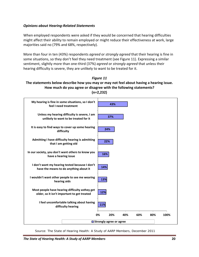# *Opinions about Hearing‐Related Statements*

When employed respondents were asked if they would be concerned that hearing difficulties might affect their ability to remain employed or might reduce their effectiveness at work, large majorities said no (79% and 68%, respectively).

More than four in ten (43%) respondents *agreed* or *strongly agreed* that their hearing is fine in some situations, so they don't feel they need treatment (see Figure 11). Expressing a similar sentiment, slightly more than one‐third (37%) *agreed* or *strongly agreed* that unless their hearing difficulty is severe, they are unlikely to want to be treated for it.





*Source: The State of Hearing Health: A Study of AARP Members,* December 2011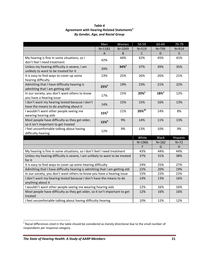| Table 6                                                |
|--------------------------------------------------------|
| Agreement with Hearing-Related Statements <sup>5</sup> |
| <b>By Gender, Age, and Racial Group</b>                |

|                                                                             | Men        | Women              | 50-59                | 60-69            | 70-79     |
|-----------------------------------------------------------------------------|------------|--------------------|----------------------|------------------|-----------|
|                                                                             | $N = 1183$ | $N = 1049$         | $N = 519$            | $N = 799$        | $N = 914$ |
|                                                                             | A          | B.                 | $\mathsf{C}$         | D                | E         |
| My hearing is fine in some situations, so I                                 | 42%        | 44%                | 42%                  | 45%              | 41%       |
| don't feel I need treatment                                                 |            |                    |                      |                  |           |
| Unless my hearing difficulty is severe, I am                                | 39%        | $34%$ <sup>a</sup> | 37%                  | 39%              | 35%       |
| unlikely to want to be treated for it                                       |            |                    |                      |                  |           |
| It is easy to find ways to cover up some                                    | 23%        | 25%                | 26%                  | 26%              | 21%       |
| hearing difficulty                                                          |            |                    |                      |                  |           |
| Admitting that I have difficulty hearing is                                 | 25%        | 19%                | 23%                  | 21%              | 22%       |
| admitting that I am getting old                                             |            |                    |                      |                  |           |
| In our society, you don't want others to know                               | 17%        | 15%                | 20% <sup>e</sup>     | 18% <sup>e</sup> | 12%       |
| you have a hearing issue                                                    |            |                    |                      |                  |           |
| I don't want my hearing tested because I don't                              | 14%        | 15%                | 15%                  | 16%              | 13%       |
| have the means to do anything about it                                      |            |                    |                      |                  |           |
| I wouldn't want other people seeing me                                      | $15\%$     | 11%                | $20\%$ <sup>de</sup> | 14%              | 8%        |
| wearing hearing aids                                                        |            |                    |                      |                  |           |
| Most people have difficulty as they get older,                              | $15\%$     | 9%                 | 14%                  | 11%              | 13%       |
| so it isn't important to get treated                                        |            |                    |                      |                  |           |
| I feel uncomfortable talking about having                                   | 12%        | 9%                 | 13%                  | 10%              | 9%        |
| difficulty hearing                                                          |            |                    |                      |                  |           |
|                                                                             |            |                    | White                | <b>Black</b>     | Hispanic  |
|                                                                             |            |                    |                      | $N = 182$        | $N=72$    |
|                                                                             |            |                    | F                    | G                | H         |
| My hearing is fine in some situations, so I don't feel I need treatment     |            |                    | 43%                  | 44%              | 44%       |
| Unless my hearing difficulty is severe, I am unlikely to want to be treated |            |                    | 37%                  | 31%              | 38%       |
| for it                                                                      |            |                    |                      |                  |           |
| It is easy to find ways to cover up some hearing difficulty                 |            |                    | 24%                  | 25%              | 27%       |
| Admitting that I have difficulty hearing is admitting that I am getting old |            |                    | 22%                  | 20%              | 19%       |
| In our society, you don't want others to know you have a hearing issue      |            |                    | 15%                  | 22%              | 22%       |
| I don't want my hearing tested because I don't have the means to do         |            |                    | 14%                  | 13%              | 16%       |
| anything about it                                                           |            |                    |                      |                  |           |
| I wouldn't want other people seeing me wearing hearing aids                 |            |                    | 12%                  | 16%              | 16%       |
| Most people have difficulty as they get older, so it isn't important to get |            |                    | 12%                  | 16%              | 16%       |
| treated                                                                     |            |                    |                      |                  |           |
| I feel uncomfortable talking about having difficulty hearing                |            |                    |                      | 12%              | 12%       |

 $^5$  Racial differences cited in the table should be considered as merely directional due to the small number of respondents per response category.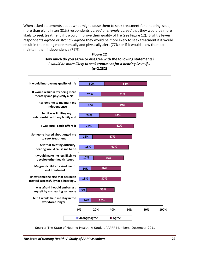When asked statements about what might cause them to seek treatment for a hearing issue, more than eight in ten (81%) respondents *agreed* or *strongly agreed* that they would be more likely to seek treatment if it would improve their quality of life (see Figure 12). Slightly fewer respondents *agreed* or *strongly agreed* they would be more likely to seek treatment if it would result in their being more mentally and physically alert (77%) or if it would allow them to maintain their independence (76%).





*Source: The State of Hearing Health: A Study of AARP Members,* December 2011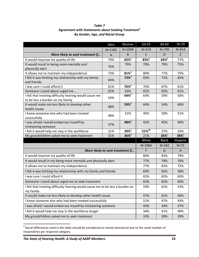## *Table 7* **Agreement with Statements about Seeking Treatment<sup>6</sup>** *By Gender, Age, and Racial Group*

|                                                                                            | Men            | Women               | 50-59                | 60-69              | 70-79            |
|--------------------------------------------------------------------------------------------|----------------|---------------------|----------------------|--------------------|------------------|
|                                                                                            | $N = 1183$     | $N = 1049$          | $N = 519$            | $N = 799$          | $N = 914$        |
| More likely to seek treatment if                                                           | $\overline{A}$ | B                   | $\mathsf{C}$         | D                  | E                |
| It would improve my quality of life                                                        | 79%            | $82%$ <sup>a</sup>  | 83% <sup>e</sup>     | $83%$ <sup>e</sup> | 77%              |
| It would result in being more mentally and<br>physically alert                             | 76%            | 79%                 | 79%                  | 79%                | 75%              |
| It allows me to maintain my independence                                                   | 73%            | $81\%$ <sup>a</sup> | 80%                  | 77%                | 75%              |
| I felt it was limiting my relationship with my family<br>and friends                       | 64%            | $73%$ <sup>a</sup>  | 69%                  | 71%                | 65%              |
| I was sure I could afford it                                                               | 61%            | 70% <sup>a</sup>    | 70%                  | 67%                | 61%              |
| Someone I cared about urged me                                                             | 62%            | 65%                 | 65%                  | 65%                | 61%              |
| I felt that treating difficulty hearing would cause me<br>to be less a burden on my family | 54%            | $64%$ <sup>a</sup>  | 64%                  | 59%                | 56%              |
| It would make me less likely to develop other<br>health issues                             | 48%            | 59% <sup>a</sup>    | 64%                  | 54%                | 46%              |
| I knew someone else who had been treated<br>successfully                                   | 48%            | 52%                 | 49%                  | 50%                | 51%              |
| I was afraid I would embarrass myself by<br>mishearing someone                             | 37%            | 48% <sup>a</sup>    | 42%                  | 45%                | 40%              |
| I felt it would help me stay in the workforce                                              | 31%            | 39% <sup>a</sup>    | $51\%$ <sup>de</sup> | 37%                | 24%              |
| My grandchildren asked me to seek treatment                                                | 31%            | $36\%$ <sup>a</sup> | 21%                  | $36\%$             | 38% <sup>c</sup> |
|                                                                                            |                | White               | <b>Black</b>         | Hispanic           |                  |
|                                                                                            |                |                     | $N = 1966$           | $N = 182$          | $N=72$           |
| More likely to seek treatment if                                                           |                |                     | F                    | G                  | H                |
| It would improve my quality of life                                                        |                |                     | 80%                  | 83%                | 79%              |
| It would result in my being more mentally and physically alert                             |                |                     | 77%                  | 79%                | 76%              |
| It allows me to maintain my independence                                                   |                |                     | 77%                  | 82%                | 73%              |
| I felt it was limiting my relationship with my family and friends                          |                |                     | 69%                  | 65%                | 58%              |
| I was sure I could afford it                                                               |                |                     | 65%                  | 65%                | 60%              |
| Someone I cared about urged me to seek treatment                                           |                |                     | 63%                  | 65%                | 60%              |
| I felt that treating difficulty hearing would cause me to be less a burden on<br>my family | 59%            | 62%                 | 53%                  |                    |                  |
| It would make me less likely to develop other health issues                                |                |                     | 57%                  | 61%                | 46%              |
| I knew someone else who had been treated successfully                                      |                |                     | 51%                  | 47%                | 43%              |
| I was afraid I would embarrass myself by mishearing someone                                |                |                     | 43%                  | 34%                | 37%              |
| I felt it would help me stay in the workforce longer                                       |                |                     | 34%                  | 41%                | 40%              |
| My grandchildren asked me to seek treatment                                                |                |                     | 33%                  | 39%                | 29%              |

 $^6$  Racial differences cited in the table should be considered as merely directional due to the small number of respondents per response category.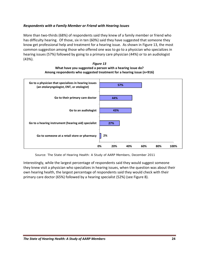# *Respondents with a Family Member or Friend with Hearing Issues*

More than two-thirds (68%) of respondents said they knew of a family member or friend who has difficulty hearing. Of those, six in ten (60%) said they have suggested that someone they know get professional help and treatment for a hearing issue. As shown in Figure 13, the most common suggestion among those who offered one was to go to a physician who specializes in hearing issues (57%) followed by going to a primary care physician (44%) or to an audiologist (43%).

#### *Figure 13* **What have you suggested a person with a hearing issue do? Among respondents who suggested treatment for a hearing issue (n=916)**



*Source: The State of Hearing Health: A Study of AARP Members,* December 2011

Interestingly, while the largest percentage of respondents said they would suggest someone they knew visit a physician who specializes in hearing issues, when the question was about their own hearing health, the largest percentage of respondents said they would check with their primary care doctor (65%) followed by a hearing specialist (52%) (see Figure 8).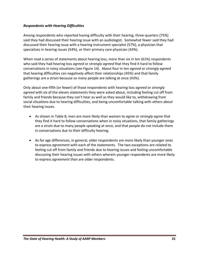# *Respondents with Hearing Difficulties*

Among respondents who reported having difficulty with their hearing, three-quarters (75%) said they had discussed their hearing issue with an audiologist. Somewhat fewer said they had discussed their hearing issue with a hearing instrument specialist (57%), a physician that specializes in hearing issues (54%), or their primary care physician (43%).

When read a series of statements about hearing loss, more than six in ten (61%) respondents who said they had hearing loss *agreed* or *strongly agreed* that they find it hard to follow conversations in noisy situations (see Figure 14). About four in ten *agreed* or *strongly agreed* that hearing difficulties can negatively affect their relationships (45%) and that family gatherings are a strain because so many people are talking at once (43%).

Only about one‐fifth (or fewer) of those respondents with hearing loss *agreed* or *strongly agreed* with six of the eleven statements they were asked about, including feeling cut off from family and friends because they can't hear as well as they would like to, withdrawing from social situations due to hearing difficulties, and being uncomfortable talking with others about their hearing issues.

- As shown in Table 8, men are more likely than women to *agree* or *strongly agree* that they find it hard to follow conversations when in noisy situations, that family gatherings are a strain due to many people speaking at once, and that people do not include them in conversations due to their difficulty hearing.
- As for age differences, in general, older respondents are more likely than younger ones to express *agreement* with each of the statements. The two exceptions are related to feeling cut off from family and friends due to hearing issues and feeling uncomfortable discussing their hearing issues with others wherein younger respondents are more likely to express *agreement* than are older respondents.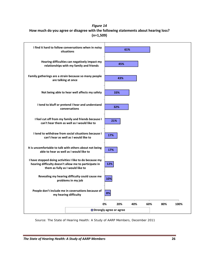# *Figure 14* **How much do you agree or disagree with the following statements about hearing loss? (n=1,509)**



*Source: The State of Hearing Health: A Study of AARP Members,* December 2011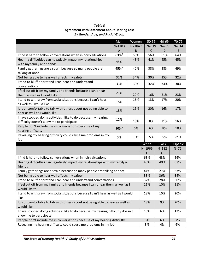| Table 8                                            |
|----------------------------------------------------|
| <b>Agreement with Statement about Hearing Loss</b> |
| <b>By Gender, Age, and Racial Group</b>            |

|                                                                                                               | Men              | Women      | 50-59       | 60-69        | $70 - 79$ |
|---------------------------------------------------------------------------------------------------------------|------------------|------------|-------------|--------------|-----------|
|                                                                                                               | $N = 1183$       | $N = 1049$ | $N = 519$   | $N = 799$    | $N = 914$ |
|                                                                                                               | A                | B          | $\mathsf C$ | D            | E         |
| I find it hard to follow conversations when in noisy situations                                               | $63\%$           | 58%        | 56%         | 61%          | 64%       |
| Hearing difficulties can negatively impact my relationships<br>with my family and friends                     | 45%              | 43%        | 41%         | 45%          | 45%       |
| Family gatherings are a strain because so many people are<br>talking at once                                  | 45% <sup>b</sup> | 40%        | 38%         | 38%          | 49%       |
| Not being able to hear well affects my safety                                                                 | 32%              | 34%        | 30%         | 35%          | 32%       |
| I tend to bluff or pretend I can hear and understand<br>conversations                                         | 33%              | 30%        | 32%         | 34%          | 30%       |
| I feel cut off from my family and friends because I can't hear<br>them as well as I would like to             | 21%              | 20%        | 16%         | 21%          | 23%       |
| I tend to withdraw from social situations because I can't hear<br>as well as I would like                     | 18%              | 16%        | 13%         | 17%          | 20%       |
| It is uncomfortable to talk with others about not being able to<br>hear as well as I would like               | 18%              | 16%        | 20%         | 16%          | 17%       |
| I have stopped doing activities I like to do because my hearing<br>difficulty doesn't allow me to participate | 12%              | 13%        | 8%          | 11%          | 16%       |
| People don't include me in conversations because of my<br>hearing difficulty                                  | $10\%$           | 6%         | 6%          | 8%           | 10%       |
| Revealing my hearing difficulty could cause me problems in my<br>job                                          | 3%               | 3%         | 5%          | 5%           | <1%       |
|                                                                                                               |                  |            | White       | <b>Black</b> | Hispanic  |
|                                                                                                               |                  |            | $N = 1966$  | $N = 182$    | $N=72$    |
|                                                                                                               |                  |            | F           | G            | H.        |
| I find it hard to follow conversations when in noisy situations                                               |                  |            | 63%         | 43%          | 56%       |
| Hearing difficulties can negatively impact my relationships with my family &<br>friends                       |                  | 45%        | 40%         | 37%          |           |
| Family gatherings are a strain because so many people are talking at once                                     |                  |            | 44%         | 27%          | 33%       |
| Not being able to hear well affects my safety                                                                 |                  |            | 33%         | 36%          | 34%       |
| I tend to bluff or pretend I can hear and understand conversations                                            |                  |            | 32%         | 28%          | 30%       |
| I feel cut off from my family and friends because I can't hear them as well as I<br>would like to             |                  |            | 21%         | 10%          | 21%       |
| I tend to withdraw from social situations because I can't hear as well as I would<br>like                     |                  |            | 18%         | 10%          | 20%       |
| It is uncomfortable to talk with others about not being able to hear as well as I<br>would like               |                  | 18%        | 9%          | 20%          |           |
|                                                                                                               |                  |            |             |              |           |
| I have stopped doing activities I like to do because my hearing difficulty doesn't                            |                  |            | 13%         | 6%           | 12%       |
| allow me to participate<br>People don't include me in conversations because of my hearing difficulty          |                  |            | 8%          | 6%           | 7%        |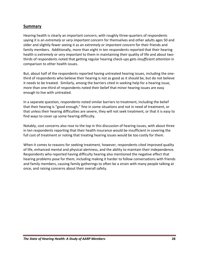# **Summary**

Hearing health is clearly an important concern, with roughly three‐quarters of respondents saying it is an *extremely* or *very important* concern for themselves and other adults ages 50 and older and slightly fewer seeing it as an *extremely* or *important concern* for their friends and family members. Additionally, more than eight in ten respondents reported that their hearing health is *extremely* or *very important* to them in maintaining their quality of life and about two‐ thirds of respondents noted that getting regular hearing check‐ups gets *insufficient attention* in comparison to other health issues.

But, about half of the respondents reported having untreated hearing issues, including the one‐ third of respondents who believe their hearing is not as good as it should be, but do not believe it needs to be treated. Similarly, among the barriers cited in seeking help for a hearing issue, more than one-third of respondents noted their belief that minor hearing issues are easy enough to live with untreated.

In a separate question, respondents noted similar barriers to treatment, including the belief that their hearing is "good enough," fine in some situations and not in need of treatment, or that unless their hearing difficulties are severe, they will not seek treatment, or that it is easy to find ways to cover up some hearing difficulty.

Notably, cost concerns also rose to the top in this discussion of hearing issues, with about three in ten respondents reporting that their health insurance would be insufficient in covering the full cost of treatment or noting that treating hearing issues would be too costly for them.

When it comes to reasons for seeking treatment, however, respondents cited improved quality of life, enhanced mental and physical alertness, and the ability to maintain their independence. Respondents who reported having difficulty hearing also mentioned the negative effect that hearing problems pose for them, including making it harder to follow conversations with friends and family members, causing family gatherings to often be a strain with many people talking at once, and raising concerns about their overall safety.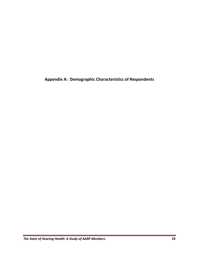**Appendix A: Demographic Characteristics of Respondents**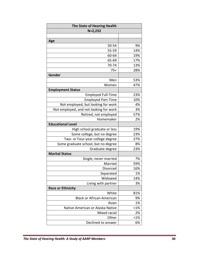| The State of Hearing Health            |         |
|----------------------------------------|---------|
| $N=2,232$                              |         |
|                                        |         |
| Age                                    |         |
| 50-54                                  | 9%      |
| 55-59                                  | 14%     |
| 60-64                                  | 19%     |
| 65-69                                  | 17%     |
| 70-74                                  | 13%     |
| $75+$                                  | 28%     |
| Gender                                 |         |
| Men                                    | 53%     |
| Women                                  | 47%     |
| <b>Employment Status</b>               |         |
| <b>Employed Full-Time</b>              | 23%     |
| <b>Employed Part-Time</b>              | 10%     |
| Not employed, but looking for work     | 4%      |
| Not employed, and not looking for work | 3%      |
| Retired, not employed                  | 57%     |
| Homemaker                              | 2%      |
| <b>Educational Level</b>               |         |
| High school graduate or less           | 19%     |
| Some college, but no degree            | 23%     |
| Two- or Four-year college degree       | 27%     |
| Some graduate school, but no degree    | 8%      |
| Graduate degree                        | 23%     |
| <b>Marital Status</b>                  |         |
| Single, never married                  | 7%      |
| Married                                | 59%     |
| Divorced                               | 16%     |
| Separated                              | 1%      |
| Widowed                                | 14%     |
| Living with partner                    | 3%      |
| <b>Race or Ethnicity</b>               |         |
| White                                  | 81%     |
| <b>Black or African-American</b>       | 9%      |
| Asian                                  | 1%      |
| Native American or Alaska Native       | $< 1\%$ |
| Mixed racial                           | 2%      |
| Other                                  | $< 1\%$ |
| Declined to answer                     | 6%      |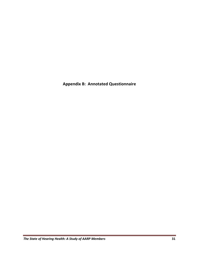**Appendix B: Annotated Questionnaire**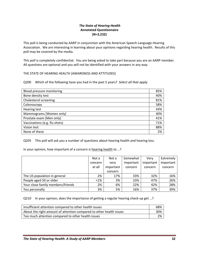#### *The State of Hearing Health* **Annotated Questionnaire (N=2,232)**

This poll is being conducted by AARP in conjunction with the American Speech‐Language‐Hearing Association. We are interesting in learning about your opinions regarding hearing health. Results of this poll may be covered by the media.

This poll is completely confidential. You are being asked to take part because you are an AARP member. All questions are optional and you will not be identified with your answers in any way.

THE STATE OF HEARING HEALTH (AWARENESS AND ATTITUDES)

Q200 Which of the following have you had in the past 5 years? *Select all that apply.*

| Blood pressure monitoring     | 85% |
|-------------------------------|-----|
| Bone density test             | 40% |
| Cholesterol screening         | 81% |
| Colonoscopy                   | 58% |
| <b>Hearing test</b>           | 43% |
| Mammograms [Women only]       | 40% |
| Prostate exam [Men only]      | 41% |
| Vaccinations (e.g. flu shots) | 71% |
| Vision test                   | 88% |
| None of these                 | 2%  |

Q205 This poll will ask you a number of questions about hearing health and hearing loss.

In your opinion, how important of a concern is hearing health to …?

|                                   | Not a   | Not a     | Somewhat  | Verv      | Extremely |
|-----------------------------------|---------|-----------|-----------|-----------|-----------|
|                                   | concern | very      | important | important | important |
|                                   | at all  | important | concern   | concern   | concern   |
|                                   |         | concern   |           |           |           |
| The US population in general      | 2%      | 17%       | 33%       | 32%       | 16%       |
| People aged 50 or older           | $<$ 1%  | 3%        | 23%       | 47%       | 26%       |
| Your close family members/friends | 2%      | 6%        | 22%       | 42%       | 28%       |
| You personally                    | 3%      | 5%        | 16%       | 37%       | 39%       |

Q210 In your opinion, does the importance of getting a regular hearing check-up get ...?

| Insufficient attention compared to other health issues              | 68% |
|---------------------------------------------------------------------|-----|
| About the right amount of attention compared to other health issues | 30% |
| Too much attention compared to other health issues                  | 2%  |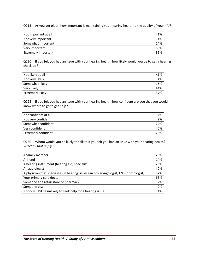Q215 As you get older, how important is maintaining your hearing health to the quality of your life?

| Not important at all       | <1% |
|----------------------------|-----|
| Not very important         | 1%  |
| Somewhat important         | 14% |
| Very important             | 50% |
| <b>Extremely important</b> | 85% |

Q220 If you felt you had an issue with your hearing health, how likely would you be to get a hearing check‐up?

| Not likely at all | $<$ 1% |
|-------------------|--------|
| Not very likely   | 4%     |
| Somewhat likely   | 15%    |
| Very likely       | 44%    |
| Extremely likely  | 37%    |

Q225 If you felt you had an issue with your hearing health, how confident are you that you would know where to go to get help?

| Not confident at all       | 4%  |
|----------------------------|-----|
| Not very confident         | 9%  |
| Somewhat confident         | 22% |
| Very confident             | 40% |
| <b>Extremely confident</b> | 26% |

Q230 Whom would you be likely to talk to if you felt you had an issue with your hearing health? *Select all that apply.*

| A family member                                                                         | 23% |
|-----------------------------------------------------------------------------------------|-----|
| A friend                                                                                | 14% |
| A hearing instrument (hearing aid) specialist                                           | 20% |
| An audiologist                                                                          | 40% |
| A physician that specializes in hearing issues (an otolaryngologist, ENT, or otologist) | 52% |
| Your primary care doctor                                                                | 65% |
| Someone at a retail store or pharmacy                                                   | 2%  |
| Someone else                                                                            | 2%  |
| Nobody – I'd be unlikely to seek help for a hearing issue                               | 1%  |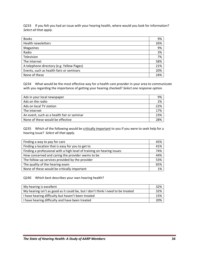Q233 If you felt you had an issue with your hearing health, where would you look for information? *Select all that apply.*

| <b>Books</b>                              | 9%  |
|-------------------------------------------|-----|
| Health newsletters                        | 26% |
| Magazines                                 | 9%  |
| Radio                                     | 3%  |
| Television                                | 7%  |
| The Internet                              | 58% |
| A telephone directory (e.g. Yellow Pages) | 21% |
| Events, such as health fairs or seminars  | 20% |
| None of these                             | 24% |

Q234 What would be the most effective way for a health care provider in your area to communicate with you regarding the importance of getting your hearing checked? *Select one response option.*

| Ads in your local newspaper                | 9%  |
|--------------------------------------------|-----|
| Ads on the radio                           | 2%  |
| Ads on local TV station                    | 22% |
| The Internet                               | 17% |
| An event, such as a health fair or seminar | 23% |
| None of these would be effective           | 28% |

Q235 Which of the following would be critically important to you if you were to seek help for a hearing issue? *Select all that apply.*

| Finding a way to pay for care                                          | 45% |
|------------------------------------------------------------------------|-----|
| Finding a location that is easy for you to get to                      | 41% |
| Finding a professional with a high level of training on hearing issues | 74% |
| How concerned and caring the provider seems to be                      | 44% |
| The follow-up services provided by the provider                        | 53% |
| The quality of the hearing exam                                        | 65% |
| None of these would be critically important                            | 1%  |

### Q240 Which best describes your own hearing health?

| My hearing is excellent                                                         | 32% |
|---------------------------------------------------------------------------------|-----|
| My hearing isn't as good as it could be, but I don't think I need to be treated | 32% |
| I have hearing difficulty but haven't been treated                              | 15% |
| I have hearing difficulty and have been treated                                 | 20% |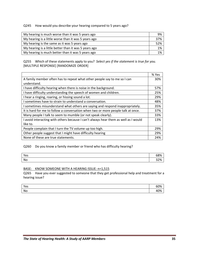Q245 How would you describe your hearing compared to 5 years ago?

| My hearing is much worse than it was 5 years ago      | 9%  |
|-------------------------------------------------------|-----|
| My hearing is a little worse than it was 5 years ago  | 37% |
| My hearing is the same as it was 5 years ago          | 52% |
| My hearing is a little better than it was 5 years ago | 1%  |
| My hearing is much better than it was 5 years ago     | 1%  |

Q255 Which of these statements apply to you? *Select yes if the statement is true for you.* [MULTIPLE RESPONSE] [RANDOMIZE ORDER]

|                                                                                     | % Yes |
|-------------------------------------------------------------------------------------|-------|
| A family member often has to repeat what other people say to me so I can            | 30%   |
| understand.                                                                         |       |
| I have difficulty hearing when there is noise in the background.                    | 57%   |
| I have difficulty understanding the speech of women and children.                   | 25%   |
| I hear a ringing, roaring, or hissing sound a lot.                                  | 29%   |
| I sometimes have to strain to understand a conversation.                            | 48%   |
| I sometimes misunderstand what others are saying and respond inappropriately.       | 35%   |
| It is hard for me to follow a conversation when two or more people talk at once.    | 37%   |
| Many people I talk to seem to mumble (or not speak clearly).                        | 33%   |
| I avoid interacting with others because I can't always hear them as well as I would | 13%   |
| like to.                                                                            |       |
| People complain that I turn the TV volume up too high.                              | 29%   |
| Other people suggest that I might have difficulty hearing                           | 29%   |
| None of these are true statements.                                                  | 24%   |

### Q260 Do you know a family member or friend who has difficulty hearing?

| Yes | 68% |
|-----|-----|
| No  | 32% |

#### BASE: KNOW SOMEONE WITH A HEARING ISSUE: n=1,515

Q265 Have you ever suggested to someone that they get professional help and treatment for a hearing issue?

| Yes | 60% |
|-----|-----|
| No  | 10% |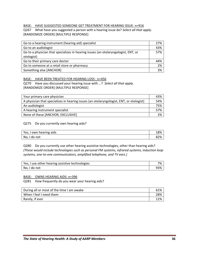#### BASE: HAVE SUGGESTED SOMEONE GET TREATMENT FOR HEARING ISSUE: n=916

Q267 What have you suggested a person with a hearing issue do? *Select all that apply.* [RANDOMIZE ORDER] [MULTIPLE RESPONSE]

| Go to a hearing instrument (hearing aid) specialist                                | 27% |
|------------------------------------------------------------------------------------|-----|
| Go to an audiologist                                                               | 43% |
| Go to a physician that specializes in hearing issues (an otolaryngologist, ENT, or | 57% |
| otologist)                                                                         |     |
| Go to their primary care doctor                                                    | 44% |
| Go to someone at a retail store or pharmacy                                        | 2%  |
| Something else [ANCHOR]                                                            | 3%  |

#### BASE: HAVE BEEN TREATED FOR HEARING LOSS : n=456

Q270 Have you discussed your hearing issue with …? *Select all that apply.* [RANDOMIZE ORDER] [MULTIPLE RESPONSE]

| Your primary care physician                                                             | 43% |
|-----------------------------------------------------------------------------------------|-----|
| A physician that specializes in hearing issues (an otolaryngologist, ENT, or otologist) | 54% |
| An audiologist                                                                          | 75% |
| A hearing instrument specialist                                                         | 57% |
| None of these [ANCHOR; EXCLUSIVE]                                                       | 2%  |

#### Q275 Do you currently own hearing aids?

| Yes, I own hearing aids | 18% |
|-------------------------|-----|
| No, I do not            | 82% |

Q280 Do you currently use other hearing assistive technologies, other than hearing aids? *(These would include technologies such as personal FM systems, infrared systems, induction loop systems, one‐to‐one communicators, amplified telephone, and TV ears.)*

| Yes, I use other hearing assistive technologies | 7%  |
|-------------------------------------------------|-----|
| No, I do not                                    | 93% |

#### BASE: OWNS HEARING AIDS: n=396

Q281 How frequently do you wear your hearing aids?

| During all or most of the time I am awake | 61% |
|-------------------------------------------|-----|
| When I feel I need them                   | 28% |
| Rarely, if ever                           | 11% |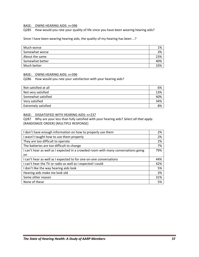#### BASE: OWNS HEARING AIDS: n=396

Q285 How would you rate your quality of life since you have been wearing hearing aids?

Since I have been wearing hearing aids, the quality of my hearing has been …?

| Much worse      | 1%  |
|-----------------|-----|
| Somewhat worse  | 3%  |
| About the same  | 23% |
| Somewhat better | 40% |
| Much better     | 33% |

#### BASE: OWNS HEARING AIDS: n=396

Q286 How would you rate your satisfaction with your hearing aids?

| Not satisfied at all       | 6%  |
|----------------------------|-----|
| Not very satisfied         | 13% |
| Somewhat satisfied         | 40% |
| Very satisfied             | 34% |
| <b>Extremely satisfied</b> | 8%  |

#### BASE: DISSATISFIED WITH HEARING AIDS: n=237

Q287 Why are your less than fully satisfied with your hearing aids? *Select all that apply.* [RANDOMIZE ORDER] [MULTIPLE RESPONSE]

| I don't have enough information on how to properly use them                        | 2%  |
|------------------------------------------------------------------------------------|-----|
| I wasn't taught how to use them properly                                           | 2%  |
| They are too difficult to operate                                                  | 2%  |
| The batteries are too difficult to change                                          | 7%  |
| I can't hear as well as I expected in a crowded room with many conversations going | 79% |
| on                                                                                 |     |
| I can't hear as well as I expected to for one-on-one conversations                 | 44% |
| I can't hear the TV or radio as well as I expected I could                         | 42% |
| I don't like the way hearing aids look                                             | 5%  |
| Hearing aids make me look old                                                      | 3%  |
| Some other reason                                                                  | 31% |
| None of these                                                                      | 5%  |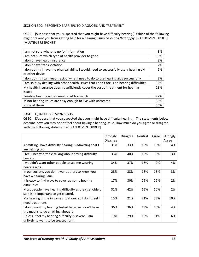## SECTION 300: PERCEIVED BARRIERS TO DIAGNOSIS AND TREATMENT

Q305 [Suppose that you suspected that you might have difficulty hearing.] Which of the following might prevent you from getting help for a hearing issue? *Select all that apply.* [RANDOMIZE ORDER] [MULTIPLE RESPONSE]

| I am not sure where to go for information                                                | 8%  |
|------------------------------------------------------------------------------------------|-----|
| I am not sure which type of health provider to go to                                     | 10% |
| I don't have health insurance                                                            | 8%  |
| I don't have transportation                                                              | 2%  |
| I don't think I have the physical ability I would need to successfully use a hearing aid | 2%  |
| or other device                                                                          |     |
| I don't think I can keep track of what I need to do to use hearing aids successfully     | 2%  |
| I am so busy dealing with other health issues that I don't focus on hearing difficulties | 12% |
| My health insurance doesn't sufficiently cover the cost of treatment for hearing         | 28% |
| issues                                                                                   |     |
| Treating hearing issues would cost too much                                              | 27% |
| Minor hearing issues are easy enough to live with untreated                              | 36% |
| None of these                                                                            | 35% |

#### BASE: QUALIFIED RESPONDENTS

Q310 [Suppose that you suspected that you might have difficulty hearing.] The statements below describe how you may or not feel about having a hearing issue. How much do you agree or disagree with the following statements? [RANDOMIZE ORDER]

|                                                                                                 | Strongly<br><b>Disagree</b> | <b>Disagree</b> | Neutral | Agree | Strongly<br>Agree |
|-------------------------------------------------------------------------------------------------|-----------------------------|-----------------|---------|-------|-------------------|
| Admitting I have difficulty hearing is admitting that I<br>am getting old.                      | 31%                         | 33%             | 15%     | 18%   | 4%                |
| I feel uncomfortable talking about having difficulty<br>hearing.                                | 33%                         | 40%             | 16%     | 8%    | 3%                |
| I wouldn't want other people to see me wearing<br>hearing aids.                                 | 34%                         | 37%             | 16%     | 9%    | 4%                |
| In our society, you don't want others to know you<br>have a hearing issue.                      | 28%                         | 38%             | 18%     | 13%   | 3%                |
| It is easy to find ways to cover up some hearing<br>difficulties.                               | 17%                         | 30%             | 29%     | 22%   | 2%                |
| Most people have hearing difficulty as they get older,<br>so it isn't important to get treated. | 31%                         | 42%             | 15%     | 10%   | 2%                |
| My hearing is fine in some situations, so I don't feel I<br>need treatment.                     | 15%                         | 21%             | 21%     | 33%   | 10%               |
| I don't want my hearing tested because I don't have<br>the means to do anything about it.       | 36%                         | 36%             | 13%     | 10%   | 4%                |
| Unless I feel my hearing difficulty is severe, I am<br>unlikely to want to be treated for it.   | 19%                         | 29%             | 15%     | 31%   | 6%                |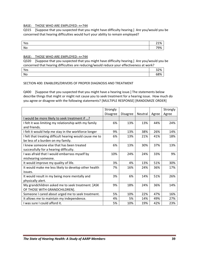#### BASE: THOSE WHO ARE EMPLOYED: n=744

Q315 [Suppose that you suspected that you might have difficulty hearing.] Are you/would you be concerned that hearing difficulties would hurt your ability to remain employed?

| Yes | 21% |
|-----|-----|
| No  | 79% |

#### BASE: THOSE WHO ARE EMPLOYED: n=744

Q320 [Suppose that you suspected that you might have difficulty hearing.] Are you/would you be concerned that hearing difficulties are reducing/would reduce your effectiveness at work?

| Yes | 32% |
|-----|-----|
| No  | 68% |

#### SECTION 400: ENABLERS/DRIVERS OF PROPER DIAGNOSIS AND TREATMENT

Q400 [Suppose that you suspected that you might have a hearing issue.] The statements below describe things that might or might not cause you to seek treatment for a hearing issue. How much do you agree or disagree with the following statements? [MULTIPLE RESPONSE] [RANDOMIZE ORDER]

|                                                          | Strongly        |                 |         |       | Strongly |
|----------------------------------------------------------|-----------------|-----------------|---------|-------|----------|
|                                                          | <b>Disagree</b> | <b>Disagree</b> | Neutral | Agree | Agree    |
| I would be more likely to seek treatment if ?            |                 |                 |         |       |          |
| I felt it was limiting my relationship with my family    | 6%              | 13%             | 13%     | 44%   | 24%      |
| and friends.                                             |                 |                 |         |       |          |
| I felt it would help me stay in the workforce longer     | 9%              | 13%             | 38%     | 26%   | 14%      |
| I felt that treating difficult hearing would cause me to | 6%              | 13%             | 21%     | 41%   | 18%      |
| be less of a burden on my family.                        |                 |                 |         |       |          |
| I knew someone else that has been treated                | 6%              | 13%             | 30%     | 37%   | 13%      |
| successfully for a hearing difficulty.                   |                 |                 |         |       |          |
| I was afraid that I would embarrass myself by            | 10%             | 24%             | 24%     | 33%   | 9%       |
| mishearing someone.                                      |                 |                 |         |       |          |
| It would improve my quality of life.                     | 3%              | 4%              | 13%     | 51%   | 30%      |
| It would make me less likely to develop other health     | 7%              | 16%             | 24%     | 36%   | 17%      |
| issues.                                                  |                 |                 |         |       |          |
| It would result in my being more mentally and            | 3%              | 6%              | 14%     | 51%   | 26%      |
| physically alert.                                        |                 |                 |         |       |          |
| My grandchildren asked me to seek treatment. [ASK        | 9%              | 18%             | 24%     | 36%   | 14%      |
| OF THOSE WITH GRANDCHILDREN].                            |                 |                 |         |       |          |
| Someone I cared about urged me to seek treatment.        | 5%              | 10%             | 22%     | 47%   | 16%      |
| It allows me to maintain my independence.                | 4%              | 5%              | 14%     | 49%   | 27%      |
| I was sure I could afford it.                            | 5%              | 10%             | 19%     | 42%   | 23%      |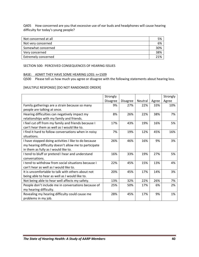Q405 How concerned are you that excessive use of ear buds and headphones will cause hearing difficulty for today's young people?

| Not concerned at all | 5%  |
|----------------------|-----|
| Not very concerned   | 6%  |
| Somewhat concerned   | 30% |
| Very concerned       | 38% |
| Extremely concerned  | 21% |

SECTION 500: PERCEIVED CONSEQUENCES OF HEARING ISSUES

#### BASE: ADMIT THEY HAVE SOME HEARING LOSS: n=1509

Q500 Please tell us how much you agree or disagree with the following statements about hearing loss.

#### [MULTIPLE RESPONSE] [DO NOT RANDOMIZE ORDER]

|                                                       | Strongly |                 |         |       | Strongly |
|-------------------------------------------------------|----------|-----------------|---------|-------|----------|
|                                                       | Disagree | <b>Disagree</b> | Neutral | Agree | Agree    |
| Family gatherings are a strain because so many        | 9%       | 27%             | 22%     | 33%   | 10%      |
| people are talking at once.                           |          |                 |         |       |          |
| Hearing difficulties can negatively impact my         | 8%       | 26%             | 22%     | 38%   | 7%       |
| relationships with my family and friends.             |          |                 |         |       |          |
| I feel cut off from my family and friends because I   | 17%      | 43%             | 19%     | 16%   | 5%       |
| can't hear them as well as I would like to.           |          |                 |         |       |          |
| I find it hard to follow conversations when in noisy  | 7%       | 19%             | 12%     | 45%   | 16%      |
| situations.                                           |          |                 |         |       |          |
| I have stopped doing activities I like to do because  | 26%      | 46%             | 16%     | 9%    | 3%       |
| my hearing difficulty doesn't allow me to participate |          |                 |         |       |          |
| in them as fully as I would like to.                  |          |                 |         |       |          |
| I tend to bluff or pretend I hear and understand      | 16%      | 33%             | 19%     | 27%   | 5%       |
| conversations.                                        |          |                 |         |       |          |
| I tend to withdraw from social situations because I   | 22%      | 45%             | 15%     | 13%   | 4%       |
| can't hear as well as I would like to.                |          |                 |         |       |          |
| It is uncomfortable to talk with others about not     | 20%      | 45%             | 17%     | 14%   | 3%       |
| being able to hear as well as I would like to.        |          |                 |         |       |          |
| Not being able to hear well affects my safety.        | 13%      | 32%             | 22%     | 26%   | 7%       |
| People don't include me in conversations because of   | 25%      | 50%             | 17%     | 6%    | 2%       |
| my hearing difficulty.                                |          |                 |         |       |          |
| Revealing my hearing difficulty could cause me        | 28%      | 45%             | 17%     | 9%    | 1%       |
| problems in my job.                                   |          |                 |         |       |          |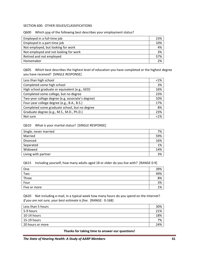#### SECTION 600: OTHER ISSUES/CLASSIFICATIONS

#### Q600 Which one of the following best describes your employment status?

| Employed in a full-time job           | 23% |
|---------------------------------------|-----|
| Employed in a part-time job           | 10% |
| Not employed, but looking for work    | 4%  |
| Not employed and not looking for work | 3%  |
| Retired and not employed              | 57% |
| Homemaker                             | 2%  |

Q605 Which best describes the highest level of education you have completed or the highest degree you have received? [SINGLE RESPONSE]

| Less than high school                             | $< 1\%$ |
|---------------------------------------------------|---------|
| Completed some high school                        | 3%      |
| High school graduate or equivalent (e.g., GED)    | 16%     |
| Completed some college, but no degree             | 23%     |
| Two-year college degree (e.g. associate's degree) | 10%     |
| Four-year college degree (e.g., B.A., B.S.)       | 17%     |
| Completed some graduate school, but no degree     | 8%      |
| Graduate degree (e.g., M.S., M.D., Ph.D.)         | 23%     |
| Not sure                                          | < 1%    |

#### Q610 What is your marital status? [SINGLE RESPONSE]

| Single, never married | 7%  |
|-----------------------|-----|
| Married               | 59% |
|                       |     |
| Divorced              | 16% |
| Separated             | 1%  |
| Widowed               | 14% |
| Living with partner   | 3%  |

#### Q615 Including yourself, how many adults aged 18 or older do you live with? [RANGE 0‐9]

| One          | 39% |
|--------------|-----|
| Two          | 49% |
| Three        | 8%  |
| Four         | 3%  |
| Five or more | 1%  |

Q620 Not including e-mail, in a typical week how many hours do you spend on the Internet? *If you are not sure, your best estimate is fine.* [RANGE: 0‐168]

| Less than 5 hours   | 30% |
|---------------------|-----|
| 5-9 hours           | 21% |
| $\vert$ 10-14 hours | 18% |
| $15-19$ hours       | 7%  |
| 20 hours or more    | 24% |

**Thanks for taking time to answer our questions!**